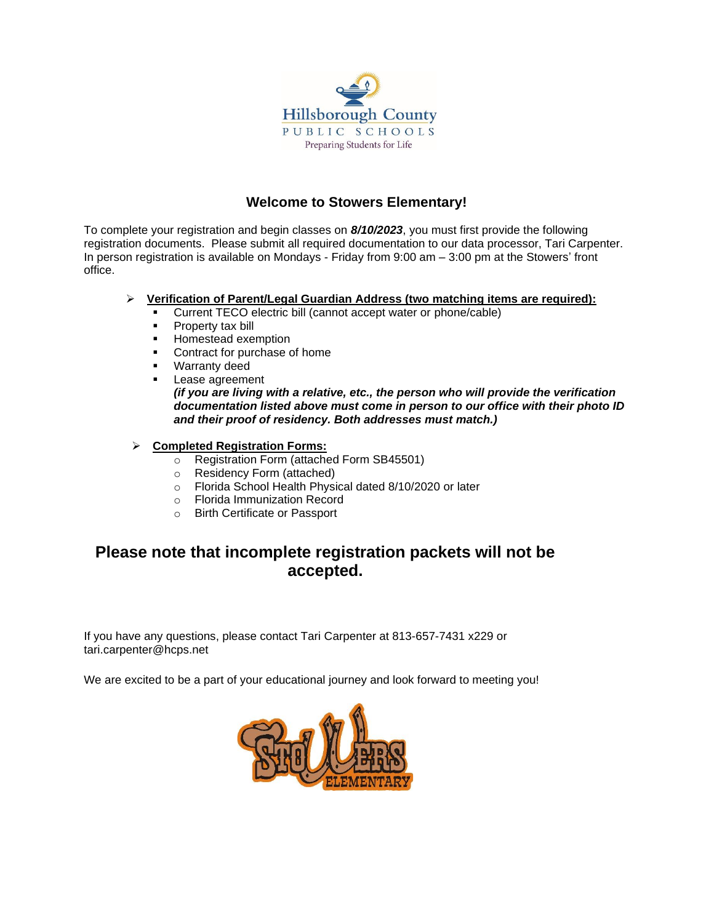

### **Welcome to Stowers Elementary!**

To complete your registration and begin classes on *8/10/2023*, you must first provide the following registration documents. Please submit all required documentation to our data processor, Tari Carpenter. In person registration is available on Mondays - Friday from 9:00 am – 3:00 pm at the Stowers' front office.

#### ➢ **Verification of Parent/Legal Guardian Address (two matching items are required):**

- Current TECO electric bill (cannot accept water or phone/cable)
- **•** Property tax bill
- Homestead exemption
- Contract for purchase of home
- Warranty deed
- Lease agreement *(if you are living with a relative, etc., the person who will provide the verification documentation listed above must come in person to our office with their photo ID and their proof of residency. Both addresses must match.)*
- ➢ **Completed Registration Forms:**
	- o Registration Form (attached Form SB45501)
	- o Residency Form (attached)
	- o Florida School Health Physical dated 8/10/2020 or later
	- o Florida Immunization Record
	- o Birth Certificate or Passport

### **Please note that incomplete registration packets will not be accepted.**

If you have any questions, please contact Tari Carpenter at 813-657-7431 x229 or tari.carpenter@hcps.net

We are excited to be a part of your educational journey and look forward to meeting you!

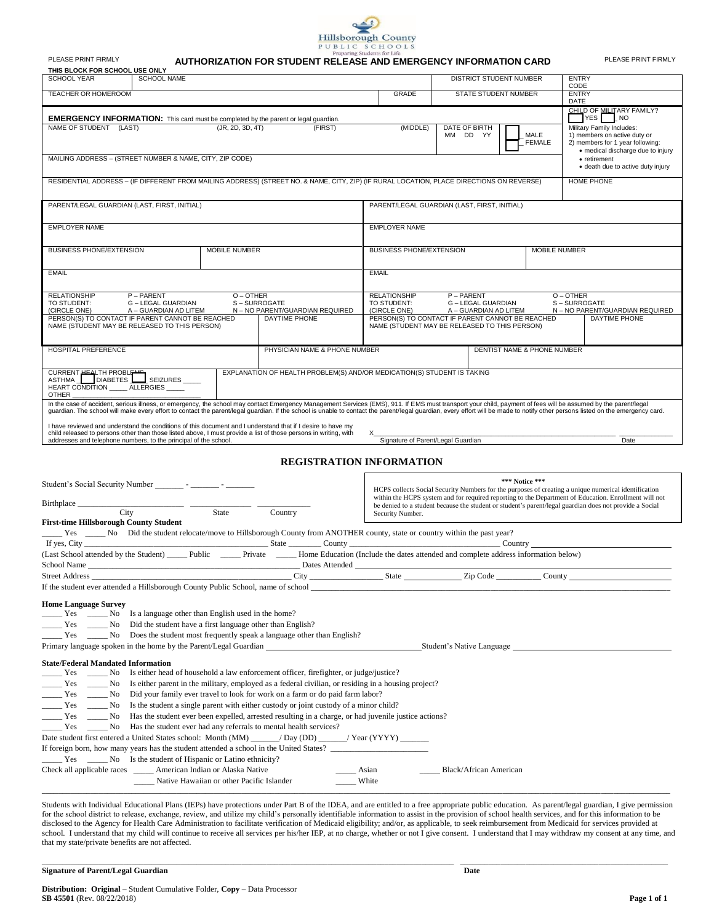

| Litchstring structure for The<br>PLEASE PRINT FIRMLY<br>AUTHORIZATION FOR STUDENT RELEASE AND EMERGENCY INFORMATION CARD                                                                                                                                                                                                                                                                                                                                                       |                                                  |                                    |                                                                                                                            |                             | PLEASE PRINT FIRMLY                                                                                                                                                                               |
|--------------------------------------------------------------------------------------------------------------------------------------------------------------------------------------------------------------------------------------------------------------------------------------------------------------------------------------------------------------------------------------------------------------------------------------------------------------------------------|--------------------------------------------------|------------------------------------|----------------------------------------------------------------------------------------------------------------------------|-----------------------------|---------------------------------------------------------------------------------------------------------------------------------------------------------------------------------------------------|
| THIS BLOCK FOR SCHOOL USE ONLY<br><b>SCHOOL NAME</b><br><b>SCHOOL YEAR</b>                                                                                                                                                                                                                                                                                                                                                                                                     |                                                  |                                    | DISTRICT STUDENT NUMBER                                                                                                    |                             | <b>ENTRY</b>                                                                                                                                                                                      |
| TEACHER OR HOMEROOM                                                                                                                                                                                                                                                                                                                                                                                                                                                            |                                                  | <b>GRADE</b>                       | <b>STATE STUDENT NUMBER</b>                                                                                                |                             | CODE<br><b>ENTRY</b>                                                                                                                                                                              |
|                                                                                                                                                                                                                                                                                                                                                                                                                                                                                |                                                  |                                    |                                                                                                                            |                             | DATE<br>CHILD OF MILITARY FAMILY?                                                                                                                                                                 |
| <b>EMERGENCY INFORMATION:</b> This card must be completed by the parent or legal guardian.<br>NAME OF STUDENT (LAST)<br>(JR, 2D, 3D, 4T)<br>MAILING ADDRESS - (STREET NUMBER & NAME, CITY, ZIP CODE)                                                                                                                                                                                                                                                                           | (FIRST)                                          | (MIDDLE)                           | DATE OF BIRTH<br>MM DD YY                                                                                                  | MALE<br>FEMALE              | YES NO<br>Military Family Includes:<br>1) members on active duty or<br>2) members for 1 year following:<br>• medical discharge due to injury<br>• retirement<br>· death due to active duty injury |
| RESIDENTIAL ADDRESS - (IF DIFFERENT FROM MAILING ADDRESS) (STREET NO. & NAME, CITY, ZIP) (IF RURAL LOCATION, PLACE DIRECTIONS ON REVERSE)<br><b>HOME PHONE</b>                                                                                                                                                                                                                                                                                                                 |                                                  |                                    |                                                                                                                            |                             |                                                                                                                                                                                                   |
| PARENT/LEGAL GUARDIAN (LAST, FIRST, INITIAL)                                                                                                                                                                                                                                                                                                                                                                                                                                   |                                                  |                                    | PARENT/LEGAL GUARDIAN (LAST, FIRST, INITIAL)                                                                               |                             |                                                                                                                                                                                                   |
| <b>EMPLOYER NAME</b>                                                                                                                                                                                                                                                                                                                                                                                                                                                           |                                                  | <b>EMPLOYER NAME</b>               |                                                                                                                            |                             |                                                                                                                                                                                                   |
| BUSINESS PHONE/EXTENSION<br>MOBILE NUMBER                                                                                                                                                                                                                                                                                                                                                                                                                                      |                                                  | BUSINESS PHONE/EXTENSION           |                                                                                                                            | MOBILE NUMBER               |                                                                                                                                                                                                   |
| EMAIL                                                                                                                                                                                                                                                                                                                                                                                                                                                                          |                                                  | <b>EMAIL</b>                       |                                                                                                                            |                             |                                                                                                                                                                                                   |
| O-OTHER<br>P-PARENT<br><b>RELATIONSHIP</b><br>TO STUDENT:<br>G - LEGAL GUARDIAN<br>S-SURROGATE                                                                                                                                                                                                                                                                                                                                                                                 |                                                  | <b>RELATIONSHIP</b><br>TO STUDENT: | P-PARENT<br>G – LEGAL GUARDIAN                                                                                             | O-OTHER                     | S-SURROGATE                                                                                                                                                                                       |
| (CIRCLE ONE)<br>A - GUARDIAN AD LITEM<br>PERSON(S) TO CONTACT IF PARENT CANNOT BE REACHED<br>NAME (STUDENT MAY BE RELEASED TO THIS PERSON)                                                                                                                                                                                                                                                                                                                                     | N - NO PARENT/GUARDIAN REQUIRED<br>DAYTIME PHONE | (CIRCLE ONE)                       | A - GUARDIAN AD LITEM<br>PERSON(S) TO CONTACT IF PARENT CANNOT BE REACHED<br>NAME (STUDENT MAY BE RELEASED TO THIS PERSON) |                             | N - NO PARENT/GUARDIAN REQUIRED<br>DAYTIME PHONE                                                                                                                                                  |
| HOSPITAL PREFERENCE                                                                                                                                                                                                                                                                                                                                                                                                                                                            | PHYSICIAN NAME & PHONE NUMBER                    |                                    |                                                                                                                            | DENTIST NAME & PHONE NUMBER |                                                                                                                                                                                                   |
| CURRENT HEALTH PROBLEMENT SEIZURES<br>EXPLANATION OF HEALTH PROBLEM(S) AND/OR MEDICATION(S) STUDENT IS TAKING<br>HEART CONDITION ______ ALLERGIES _____<br><b>OTHER</b>                                                                                                                                                                                                                                                                                                        |                                                  |                                    |                                                                                                                            |                             |                                                                                                                                                                                                   |
| In the case of accident, serious illness, or emergency, the school may contact Emergency Management Services (EMS), 911. If EMS must transport your child, payment of fees will be assumed by the parent/legal<br>guardian. The school will make every effort to contact the parent/legal guardian. If the school is unable to contact the parent/legal guardian, every effort will be made to notify other persons listed on the emergency card                               |                                                  |                                    |                                                                                                                            |                             |                                                                                                                                                                                                   |
| I have reviewed and understand the conditions of this document and I understand that if I desire to have my<br>child released to persons other than those listed above, I must provide a list of those persons in writing, with<br>addresses and telephone numbers, to the principal of the school.                                                                                                                                                                            | X                                                | Signature of Parent/Legal Guardian |                                                                                                                            |                             | Date                                                                                                                                                                                              |
|                                                                                                                                                                                                                                                                                                                                                                                                                                                                                | <b>REGISTRATION INFORMATION</b>                  |                                    |                                                                                                                            |                             |                                                                                                                                                                                                   |
|                                                                                                                                                                                                                                                                                                                                                                                                                                                                                |                                                  |                                    |                                                                                                                            |                             |                                                                                                                                                                                                   |
| *** Notice ***<br>Student's Social Security Number __________ - _________ - _________<br>HCPS collects Social Security Numbers for the purposes of creating a unique numerical identification<br>within the HCPS system and for required reporting to the Department of Education. Enrollment will not<br>Birthplace City City State<br>be denied to a student because the student or student's parent/legal guardian does not provide a Social<br>Country<br>Security Number. |                                                  |                                    |                                                                                                                            |                             |                                                                                                                                                                                                   |
| <b>First-time Hillsborough County Student</b><br>Yes _______ No Did the student relocate/move to Hillsborough County from ANOTHER county, state or country within the past year?                                                                                                                                                                                                                                                                                               |                                                  |                                    |                                                                                                                            |                             |                                                                                                                                                                                                   |
| (Last School attended by the Student) Public Private Home Education (Include the dates attended and complete address information below)                                                                                                                                                                                                                                                                                                                                        |                                                  |                                    |                                                                                                                            |                             |                                                                                                                                                                                                   |
| School Name                                                                                                                                                                                                                                                                                                                                                                                                                                                                    |                                                  |                                    |                                                                                                                            |                             |                                                                                                                                                                                                   |
| <b>Street Address</b>                                                                                                                                                                                                                                                                                                                                                                                                                                                          | City                                             | State State                        | Zip Code                                                                                                                   | $\_$ County $\_\_$          |                                                                                                                                                                                                   |
| If the student ever attended a Hillsborough County Public School, name of school ___________________                                                                                                                                                                                                                                                                                                                                                                           |                                                  |                                    |                                                                                                                            |                             |                                                                                                                                                                                                   |
| <b>Home Language Survey</b><br>Is a language other than English used in the home?<br>$\rule{1em}{0.15mm}$ Yes $\rule{1em}{0.15mm}$ No<br>Did the student have a first language other than English?<br>$Yes$ No<br>Does the student most frequently speak a language other than English?<br>Primary language spoken in the home by the Parent/Legal Guardian<br>Student's Native Language                                                                                       |                                                  |                                    |                                                                                                                            |                             |                                                                                                                                                                                                   |
| <b>State/Federal Mandated Information</b>                                                                                                                                                                                                                                                                                                                                                                                                                                      |                                                  |                                    |                                                                                                                            |                             |                                                                                                                                                                                                   |
| Is either head of household a law enforcement officer, firefighter, or judge/justice?<br>Yes<br>$\frac{1}{\sqrt{1-\frac{1}{2}}}$ No                                                                                                                                                                                                                                                                                                                                            |                                                  |                                    |                                                                                                                            |                             |                                                                                                                                                                                                   |
| Is either parent in the military, employed as a federal civilian, or residing in a housing project?<br>Yes<br>$\frac{N_0}{N_0}$<br>$Yes$ No<br>Did your family ever travel to look for work on a farm or do paid farm labor?                                                                                                                                                                                                                                                   |                                                  |                                    |                                                                                                                            |                             |                                                                                                                                                                                                   |
| Is the student a single parent with either custody or joint custody of a minor child?<br>Yes<br>$\frac{1}{\sqrt{1-\frac{1}{2}}}$ No                                                                                                                                                                                                                                                                                                                                            |                                                  |                                    |                                                                                                                            |                             |                                                                                                                                                                                                   |
| Has the student ever been expelled, arrested resulting in a charge, or had juvenile justice actions?<br>Yes<br>$\frac{1}{\sqrt{1-\frac{1}{2}}}$ No<br>$\frac{1}{\sqrt{1-\frac{1}{2}}}$ No<br>Has the student ever had any referrals to mental health services?<br>Yes                                                                                                                                                                                                          |                                                  |                                    |                                                                                                                            |                             |                                                                                                                                                                                                   |
| Date student first entered a United States school: Month (MM) _____/ Day (DD) _____/ Year (YYYY) ______                                                                                                                                                                                                                                                                                                                                                                        |                                                  |                                    |                                                                                                                            |                             |                                                                                                                                                                                                   |
| If foreign born, how many years has the student attended a school in the United States?                                                                                                                                                                                                                                                                                                                                                                                        |                                                  |                                    |                                                                                                                            |                             |                                                                                                                                                                                                   |
| _Yes _______ No Is the student of Hispanic or Latino ethnicity?<br>Check all applicable races ______ American Indian or Alaska Native                                                                                                                                                                                                                                                                                                                                          | Asian                                            |                                    | Black/African American                                                                                                     |                             |                                                                                                                                                                                                   |
| Native Hawaiian or other Pacific Islander<br>White                                                                                                                                                                                                                                                                                                                                                                                                                             |                                                  |                                    |                                                                                                                            |                             |                                                                                                                                                                                                   |

Students with Individual Educational Plans (IEPs) have protections under Part B of the IDEA, and are entitled to a free appropriate public education. As parent/legal guardian, I give permission for the school district to release, exchange, review, and utilize my child's personally identifiable information to assist in the provision of school health services, and for this information to be disclosed to the Agency for Health Care Administration to facilitate verification of Medicaid eligibility; and/or, as applicable, to seek reimbursement from Medicaid for services provided at school. I understand that my child will continue to receive all services per his/her IEP, at no charge, whether or not I give consent. I understand that I may withdraw my consent at any time, and that my state/private benefits are not affected.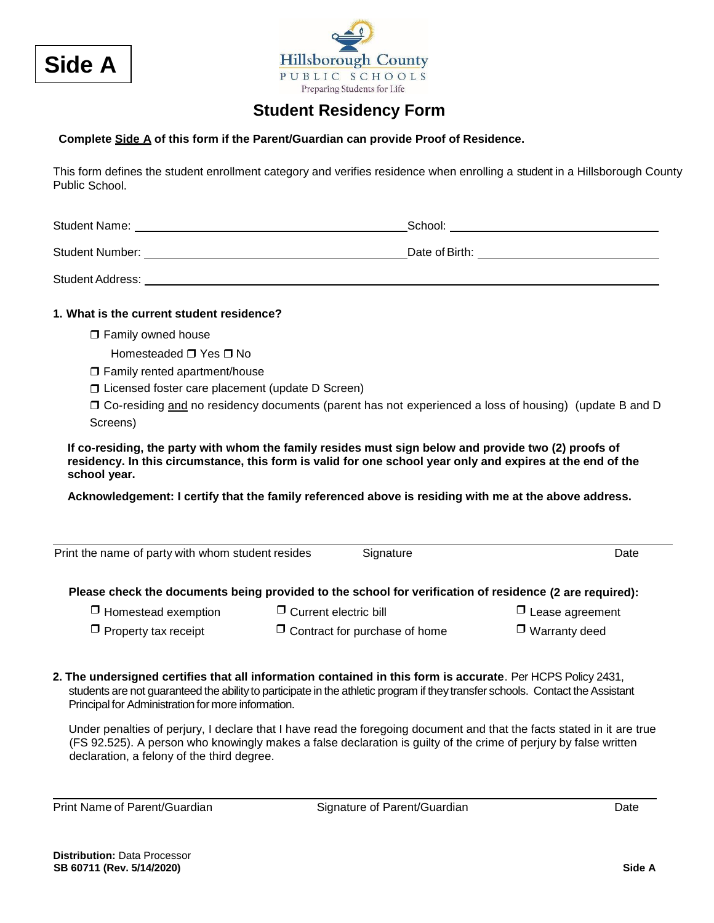



## **Student Residency Form**

#### **Complete Side A of this form if the Parent/Guardian can provide Proof of Residence.**

This form defines the student enrollment category and verifies residence when enrolling a student in a Hillsborough County Public School.

Student Name: School:

Student Number: Date of Birth:

Student Address:

#### **1. What is the current student residence?**

□ Family owned house

Homesteaded  $\Box$  Yes  $\Box$  No

- □ Family rented apartment/house
- □ Licensed foster care placement (update D Screen)

 Co-residing and no residency documents (parent has not experienced a loss of housing) (update B and D Screens)

**If co-residing, the party with whom the family resides must sign below and provide two (2) proofs of residency. In this circumstance, this form is valid for one school year only and expires at the end of the school year.** 

**Acknowledgement: I certify that the family referenced above is residing with me at the above address.**

| Print the name of party with whom student resides                                                       |                                      | Signature | Date                   |  |
|---------------------------------------------------------------------------------------------------------|--------------------------------------|-----------|------------------------|--|
| Please check the documents being provided to the school for verification of residence (2 are required): |                                      |           |                        |  |
| $\Box$ Homestead exemption                                                                              | $\Box$ Current electric bill         |           | $\Box$ Lease agreement |  |
| $\Box$ Property tax receipt                                                                             | $\Box$ Contract for purchase of home |           | $\Box$ Warranty deed   |  |
|                                                                                                         |                                      |           |                        |  |

**2. The undersigned certifies that all information contained in this form is accurate**. Per HCPS Policy 2431, students are not guaranteed the ability to participate in the athletic program if they transfer schools. Contact the Assistant Principal for Administration for more information.

Under penalties of perjury, I declare that I have read the foregoing document and that the facts stated in it are true (FS 92.525). A person who knowingly makes a false declaration is guilty of the crime of perjury by false written declaration, a felony of the third degree.

Print Name of Parent/Guardian Signature of Parent/Guardian Date